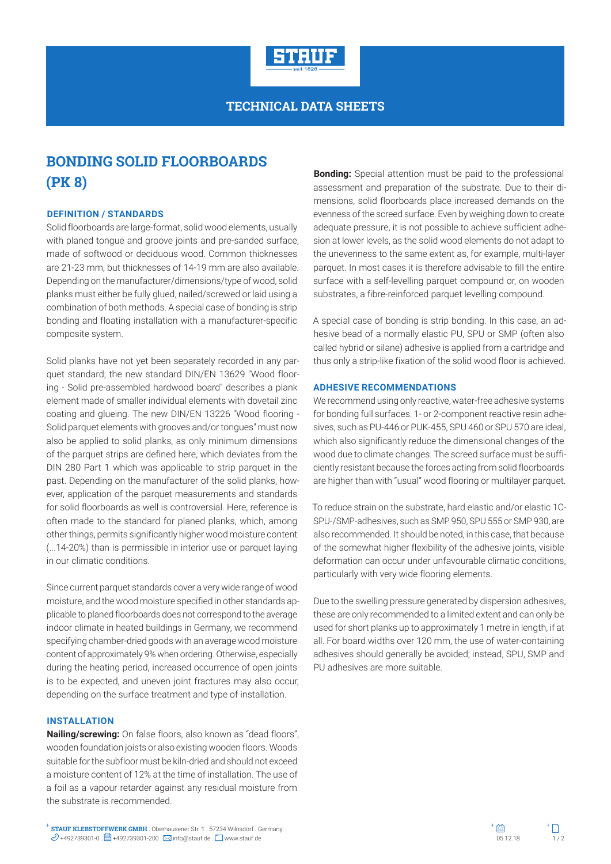

# **TECHNICAL DATA SHEETS**

# **BONDING SOLID FLOORBOARDS (PK 8)**

## **DEFINITION / STANDARDS**

Solid floorboards are large-format, solid wood elements, usually with planed tongue and groove joints and pre-sanded surface, made of softwood or deciduous wood. Common thicknesses are 21-23 mm, but thicknesses of 14-19 mm are also available. Depending on the manufacturer/dimensions/type of wood, solid planks must either be fully glued, nailed/screwed or laid using a combination of both methods. A special case of bonding is strip bonding and floating installation with a manufacturer-specific composite system.

Solid planks have not yet been separately recorded in any parquet standard; the new standard DIN/EN 13629 "Wood flooring - Solid pre-assembled hardwood board" describes a plank element made of smaller individual elements with dovetail zinc coating and glueing. The new DIN/EN 13226 "Wood flooring - Solid parquet elements with grooves and/or tongues" must now also be applied to solid planks, as only minimum dimensions of the parquet strips are defined here, which deviates from the DIN 280 Part 1 which was applicable to strip parquet in the past. Depending on the manufacturer of the solid planks, however, application of the parquet measurements and standards for solid floorboards as well is controversial. Here, reference is often made to the standard for planed planks, which, among other things, permits significantly higher wood moisture content (...14-20%) than is permissible in interior use or parquet laying in our climatic conditions.

Since current parquet standards cover a very wide range of wood moisture, and the wood moisture specified in other standards applicable to planed floorboards does not correspond to the average indoor climate in heated buildings in Germany, we recommend specifying chamber-dried goods with an average wood moisture content of approximately 9% when ordering. Otherwise, especially during the heating period, increased occurrence of open joints is to be expected, and uneven joint fractures may also occur, depending on the surface treatment and type of installation.

### **INSTALLATION**

**Nailing/screwing:** On false floors, also known as "dead floors", wooden foundation joists or also existing wooden floors. Woods suitable for the subfloor must be kiln-dried and should not exceed a moisture content of 12% at the time of installation. The use of a foil as a vapour retarder against any residual moisture from the substrate is recommended.

**Bonding:** Special attention must be paid to the professional assessment and preparation of the substrate. Due to their dimensions, solid floorboards place increased demands on the evenness of the screed surface. Even by weighing down to create adequate pressure, it is not possible to achieve sufficient adhesion at lower levels, as the solid wood elements do not adapt to the unevenness to the same extent as, for example, multi-layer parquet. In most cases it is therefore advisable to fill the entire surface with a self-levelling parquet compound or, on wooden substrates, a fibre-reinforced parquet levelling compound.

A special case of bonding is strip bonding. In this case, an adhesive bead of a normally elastic PU, SPU or SMP (often also called hybrid or silane) adhesive is applied from a cartridge and thus only a strip-like fixation of the solid wood floor is achieved.

#### **ADHESIVE RECOMMENDATIONS**

We recommend using only reactive, water-free adhesive systems for bonding full surfaces. 1- or 2-component reactive resin adhesives, such as PU-446 or PUK-455, SPU 460 or SPU 570 are ideal, which also significantly reduce the dimensional changes of the wood due to climate changes. The screed surface must be sufficiently resistant because the forces acting from solid floorboards are higher than with "usual" wood flooring or multilayer parquet.

To reduce strain on the substrate, hard elastic and/or elastic 1C-SPU-/SMP-adhesives, such as SMP 950, SPU 555 or SMP 930, are also recommended. It should be noted, in this case, that because of the somewhat higher flexibility of the adhesive joints, visible deformation can occur under unfavourable climatic conditions, particularly with very wide flooring elements.

Due to the swelling pressure generated by dispersion adhesives, these are only recommended to a limited extent and can only be used for short planks up to approximately 1 metre in length, if at all. For board widths over 120 mm, the use of water-containing adhesives should generally be avoided; instead, SPU, SMP and PU adhesives are more suitable.